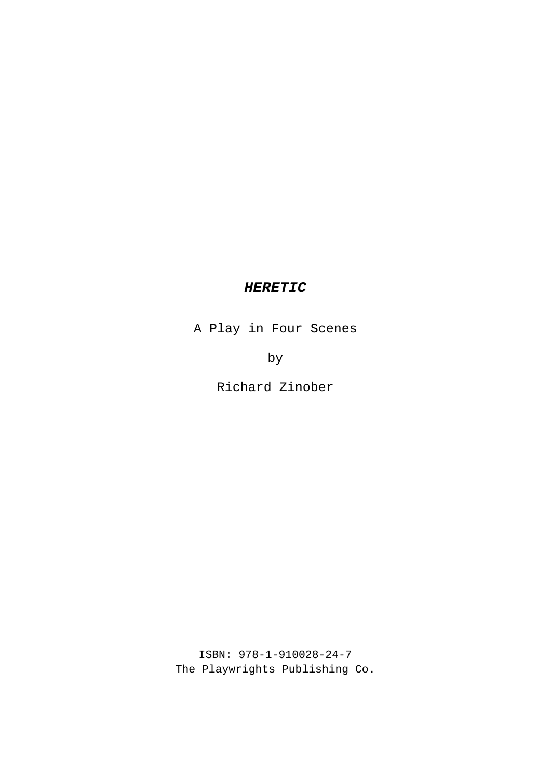A Play in Four Scenes

by

Richard Zinober

ISBN: 978-1-910028-24-7 The Playwrights Publishing Co.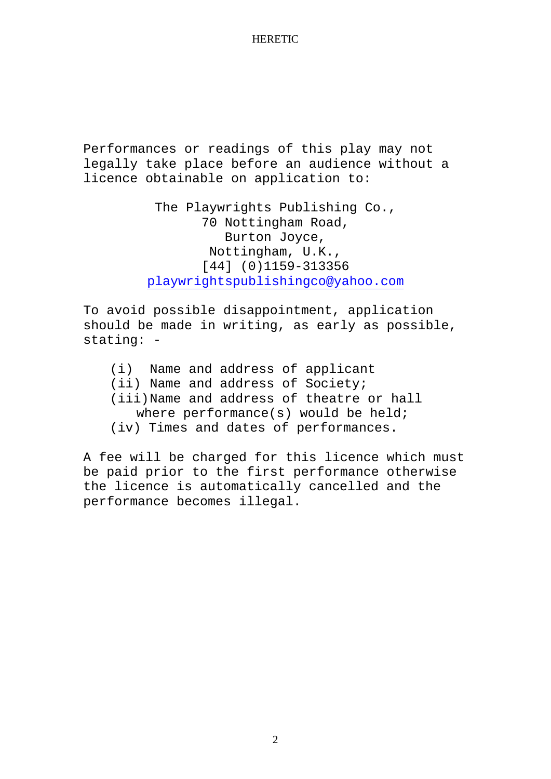Performances or readings of this play may not legally take place before an audience without a licence obtainable on application to:

> The Playwrights Publishing Co., 70 Nottingham Road, Burton Joyce, Nottingham, U.K., [44] (0)1159-313356 playwrightspublishingco@yahoo.com

To avoid possible disappointment, application should be made in writing, as early as possible, stating: -

(i) Name and address of applicant (ii) Name and address of Society; (iii)Name and address of theatre or hall where performance(s) would be held; (iv) Times and dates of performances.

A fee will be charged for this licence which must be paid prior to the first performance otherwise the licence is automatically cancelled and the performance becomes illegal.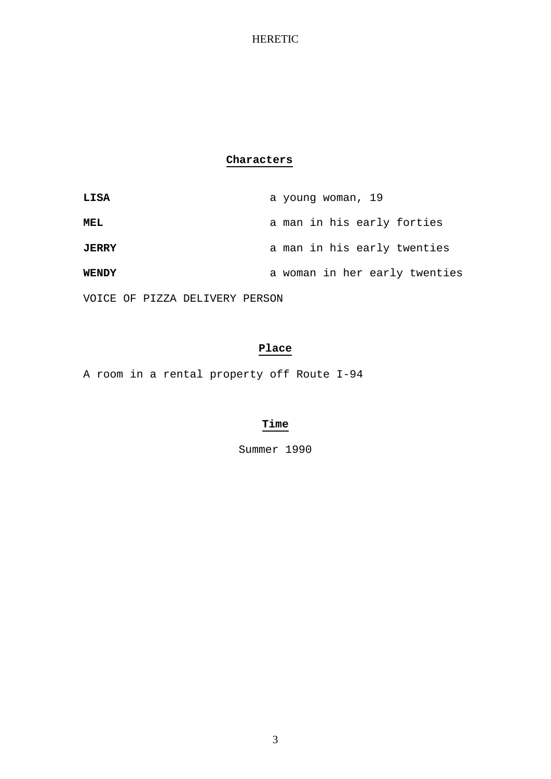# **Characters**

| LISA                           | a young woman, 19             |
|--------------------------------|-------------------------------|
| MEL                            | a man in his early forties    |
| <b>JERRY</b>                   | a man in his early twenties   |
| <b>WENDY</b>                   | a woman in her early twenties |
| VOICE OF PIZZA DELIVERY PERSON |                               |

# **Place**

A room in a rental property off Route I-94

# **Time**

Summer 1990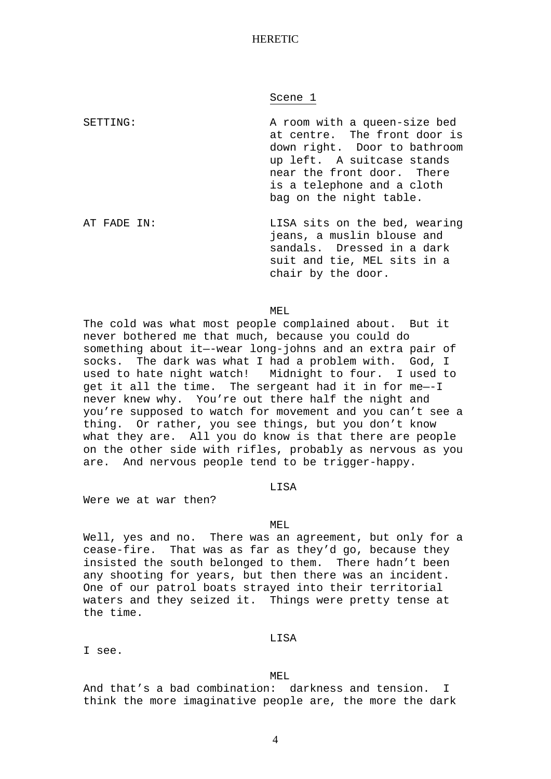Scene 1

SETTING: A room with a queen-size bed at centre. The front door is down right. Door to bathroom up left. A suitcase stands near the front door. There is a telephone and a cloth bag on the night table. AT FADE IN: LISA sits on the bed, wearing

jeans, a muslin blouse and sandals. Dressed in a dark suit and tie, MEL sits in a chair by the door.

MEL.

The cold was what most people complained about. But it never bothered me that much, because you could do something about it—-wear long-johns and an extra pair of socks. The dark was what I had a problem with. God, I used to hate night watch! Midnight to four. I used to get it all the time. The sergeant had it in for me—-I never knew why. You're out there half the night and you're supposed to watch for movement and you can't see a thing. Or rather, you see things, but you don't know what they are. All you do know is that there are people on the other side with rifles, probably as nervous as you are. And nervous people tend to be trigger-happy.

LISA

Were we at war then?

#### MEL

Well, yes and no. There was an agreement, but only for a cease-fire. That was as far as they'd go, because they insisted the south belonged to them. There hadn't been any shooting for years, but then there was an incident. One of our patrol boats strayed into their territorial waters and they seized it. Things were pretty tense at the time.

### LISA

I see.

### MEL.

And that's a bad combination: darkness and tension. I think the more imaginative people are, the more the dark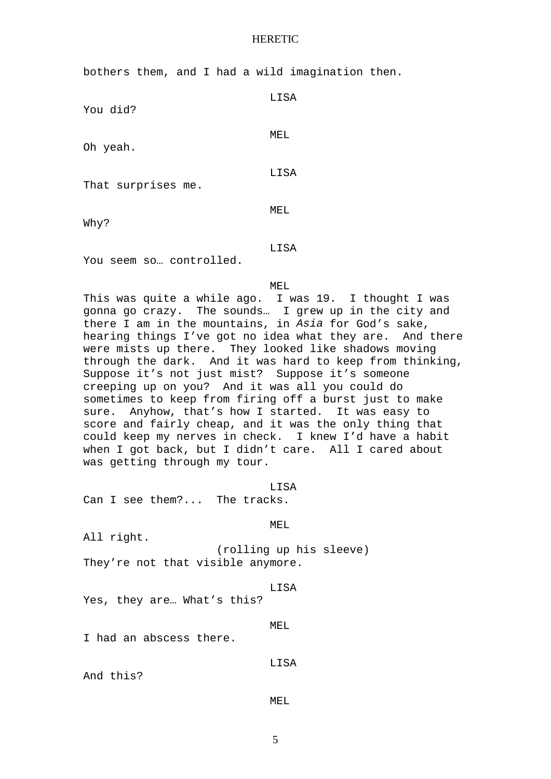$T = 0.3$ 

bothers them, and I had a wild imagination then.

| You did?                                 | <b>TTPH</b> |
|------------------------------------------|-------------|
| Oh yeah.                                 | MEL         |
| That surprises me.                       | LISA        |
| Why?                                     | MEL         |
| You seem so controlled.                  | LISA        |
| This was suite a while age $\tau$ was 10 | MEL         |

This was quite a while ago. I was 19. I thought I was gonna go crazy. The sounds… I grew up in the city and there I am in the mountains, in Asia for God's sake, hearing things I've got no idea what they are. And there were mists up there. They looked like shadows moving through the dark. And it was hard to keep from thinking, Suppose it's not just mist? Suppose it's someone creeping up on you? And it was all you could do sometimes to keep from firing off a burst just to make sure. Anyhow, that's how I started. It was easy to score and fairly cheap, and it was the only thing that could keep my nerves in check. I knew I'd have a habit when I got back, but I didn't care. All I cared about was getting through my tour.

LISA Can I see them?... The tracks.

All right.

(rolling up his sleeve) They're not that visible anymore.

LISA

MEL.

Yes, they are… What's this?

MEL

LISA

I had an abscess there.

And this?

MEL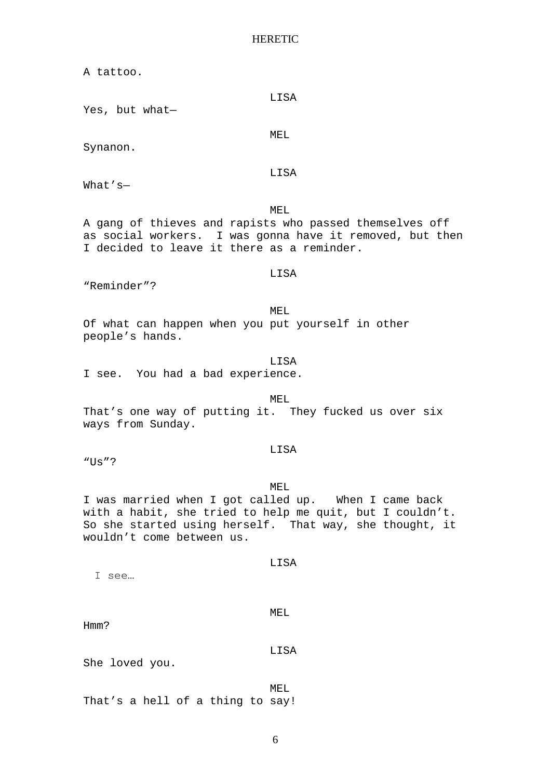A tattoo.

LISA Yes, but what—

MEL

Synanon.

LISA

What's—

MEL.

A gang of thieves and rapists who passed themselves off as social workers. I was gonna have it removed, but then I decided to leave it there as a reminder.

LISA

"Reminder"?

MEL. Of what can happen when you put yourself in other people's hands.

LISA I see. You had a bad experience.

MEL That's one way of putting it. They fucked us over six ways from Sunday.

# LISA

"Us"?

MEL

I was married when I got called up. When I came back with a habit, she tried to help me quit, but I couldn't. So she started using herself. That way, she thought, it wouldn't come between us.

LISA

I see…

MEL

Hmm?

LISA

She loved you.

That's a hell of a thing to say!

6

MEL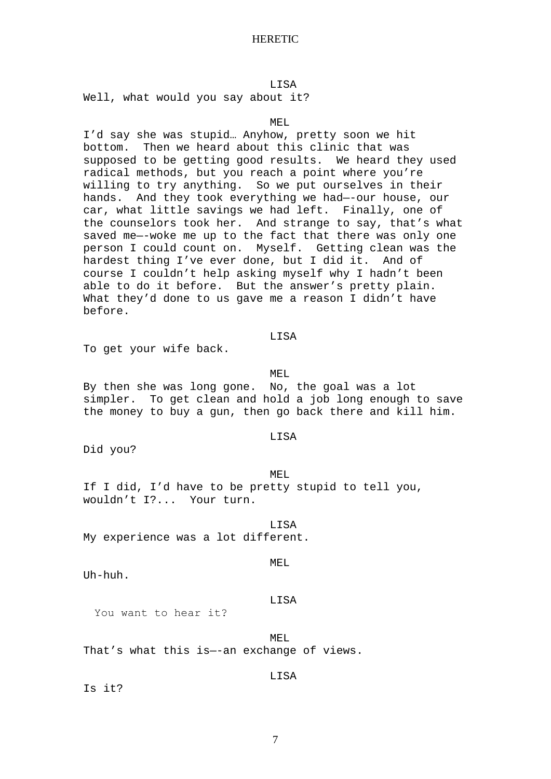### LISA

Well, what would you say about it?

### MEL.

I'd say she was stupid… Anyhow, pretty soon we hit bottom. Then we heard about this clinic that was supposed to be getting good results. We heard they used radical methods, but you reach a point where you're willing to try anything. So we put ourselves in their hands. And they took everything we had—-our house, our car, what little savings we had left. Finally, one of the counselors took her. And strange to say, that's what saved me—-woke me up to the fact that there was only one person I could count on. Myself. Getting clean was the hardest thing I've ever done, but I did it. And of course I couldn't help asking myself why I hadn't been able to do it before. But the answer's pretty plain. What they'd done to us gave me a reason I didn't have before.

#### LISA

To get your wife back.

### MEL

By then she was long gone. No, the goal was a lot simpler. To get clean and hold a job long enough to save the money to buy a gun, then go back there and kill him.

#### LISA

Did you?

MEL If I did, I'd have to be pretty stupid to tell you, wouldn't I?... Your turn.

LISA My experience was a lot different.

MEL

Uh-huh.

#### LISA

You want to hear it?

MEL

That's what this is—-an exchange of views.

## LISA

Is it?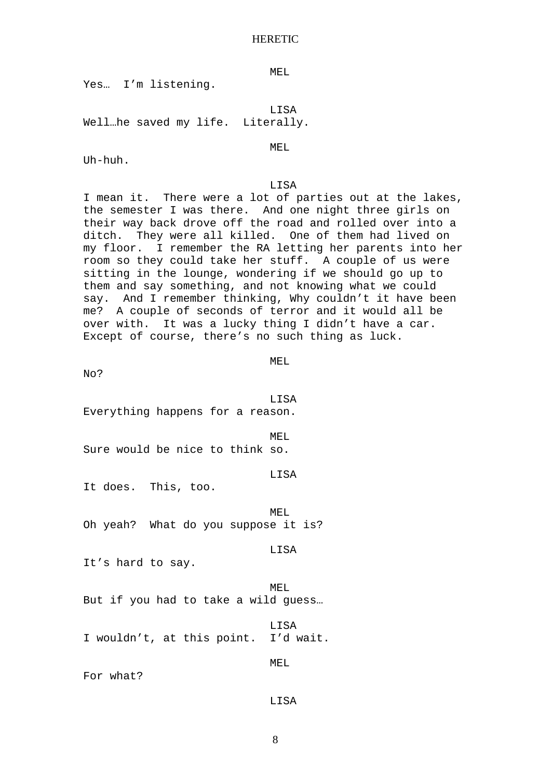Yes… I'm listening.

**LISA** Well…he saved my life. Literally.

MEL

Uh-huh.

### LISA

I mean it. There were a lot of parties out at the lakes, the semester I was there. And one night three girls on their way back drove off the road and rolled over into a ditch. They were all killed. One of them had lived on my floor. I remember the RA letting her parents into her room so they could take her stuff. A couple of us were sitting in the lounge, wondering if we should go up to them and say something, and not knowing what we could say. And I remember thinking, Why couldn't it have been me? A couple of seconds of terror and it would all be over with. It was a lucky thing I didn't have a car. Except of course, there's no such thing as luck.

MEL.

No?

LISA Everything happens for a reason.

MEL Sure would be nice to think so.

LISA

It does. This, too.

MEL. Oh yeah? What do you suppose it is?

LISA

It's hard to say.

MEL. But if you had to take a wild guess…

LISA I wouldn't, at this point. I'd wait.

MEL

For what?

### LISA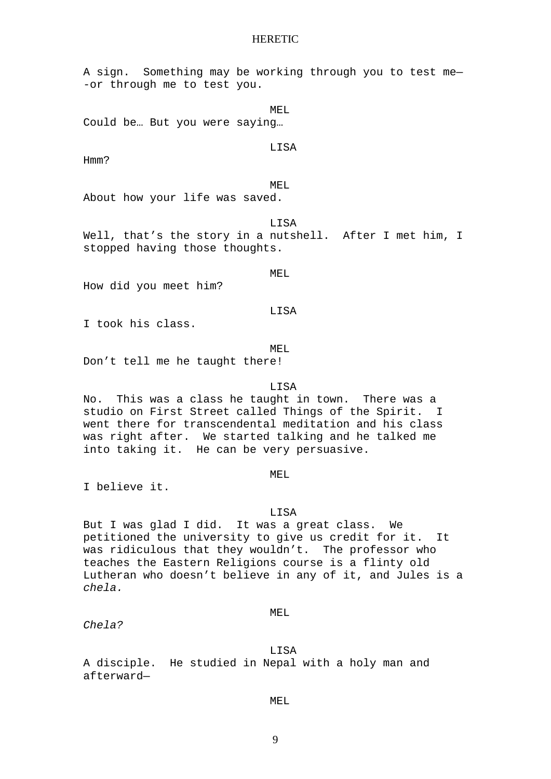A sign. Something may be working through you to test me— -or through me to test you.

MEL. Could be… But you were saying…

LISA

Hmm?

MET.

About how your life was saved.

LISA

Well, that's the story in a nutshell. After I met him, I stopped having those thoughts.

MEL

How did you meet him?

**LISA** 

I took his class.

MEL

Don't tell me he taught there!

**LISA** 

No. This was a class he taught in town. There was a studio on First Street called Things of the Spirit. I went there for transcendental meditation and his class was right after. We started talking and he talked me into taking it. He can be very persuasive.

#### MEL

I believe it.

### LISA

But I was glad I did. It was a great class. We petitioned the university to give us credit for it. It was ridiculous that they wouldn't. The professor who teaches the Eastern Religions course is a flinty old Lutheran who doesn't believe in any of it, and Jules is a chela.

### MEL

Chela?

LISA

A disciple. He studied in Nepal with a holy man and afterward—

### MEL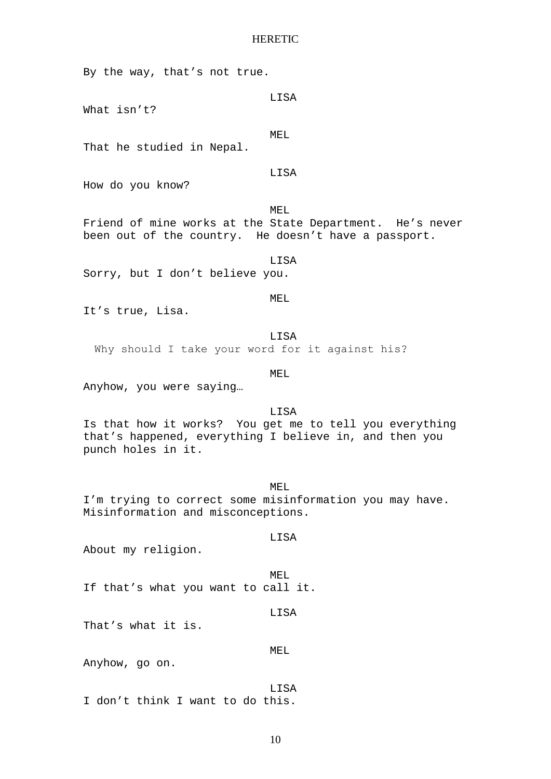By the way, that's not true. LISA What isn't? MEL That he studied in Nepal. LISA How do you know? MEL. Friend of mine works at the State Department. He's never been out of the country. He doesn't have a passport. LISA Sorry, but I don't believe you. MEL It's true, Lisa. LISA Why should I take your word for it against his? MEL Anyhow, you were saying… LISA Is that how it works? You get me to tell you everything that's happened, everything I believe in, and then you punch holes in it. MEL I'm trying to correct some misinformation you may have. Misinformation and misconceptions. LISA About my religion. MEL If that's what you want to call it. LISA That's what it is. MEL Anyhow, go on. LISA I don't think I want to do this.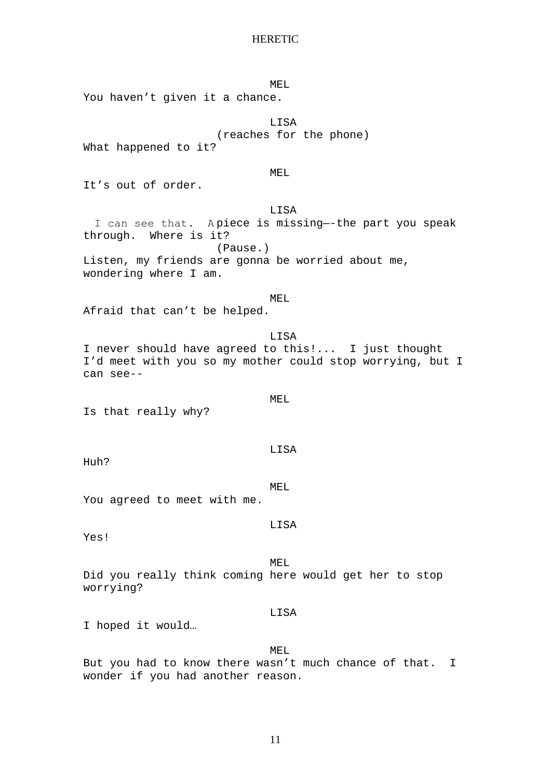MEL You haven't given it a chance. **LISA** (reaches for the phone) What happened to it? MEL It's out of order. **LISA** I can see that. A piece is missing—-the part you speak through. Where is it? (Pause.) Listen, my friends are gonna be worried about me, wondering where I am. MEL Afraid that can't be helped. LISA I never should have agreed to this!... I just thought I'd meet with you so my mother could stop worrying, but I can see-- MEL Is that really why? LISA Huh? MEL You agreed to meet with me. LISA Yes! MEL Did you really think coming here would get her to stop worrying? LISA I hoped it would… MEL But you had to know there wasn't much chance of that. I

11

wonder if you had another reason.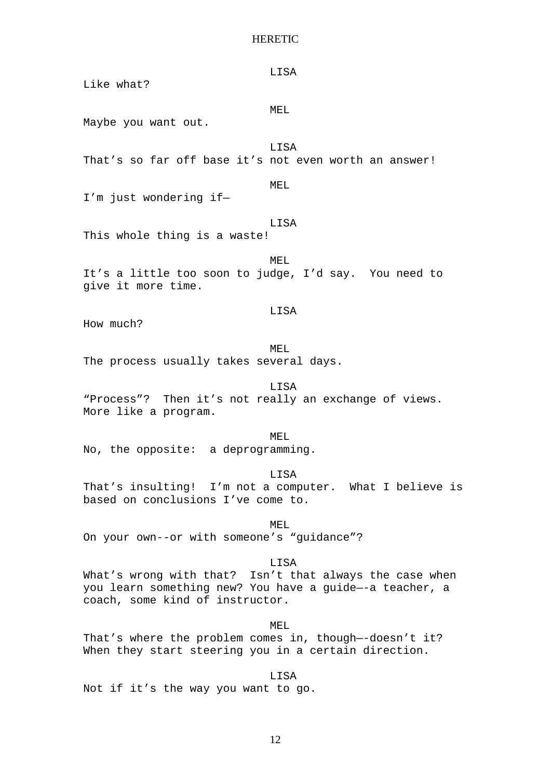LISA Like what? MEL. Maybe you want out. LISA That's so far off base it's not even worth an answer! MEL I'm just wondering if— LISA This whole thing is a waste! MEL It's a little too soon to judge, I'd say. You need to give it more time. **LISA** How much? MEL The process usually takes several days. LISA "Process"? Then it's not really an exchange of views. More like a program. MEL No, the opposite: a deprogramming. LISA That's insulting! I'm not a computer. What I believe is based on conclusions I've come to. MEL On your own--or with someone's "guidance"? LISA What's wrong with that? Isn't that always the case when you learn something new? You have a guide—-a teacher, a coach, some kind of instructor. MEL

That's where the problem comes in, though—-doesn't it? When they start steering you in a certain direction.

**LISA** Not if it's the way you want to go.